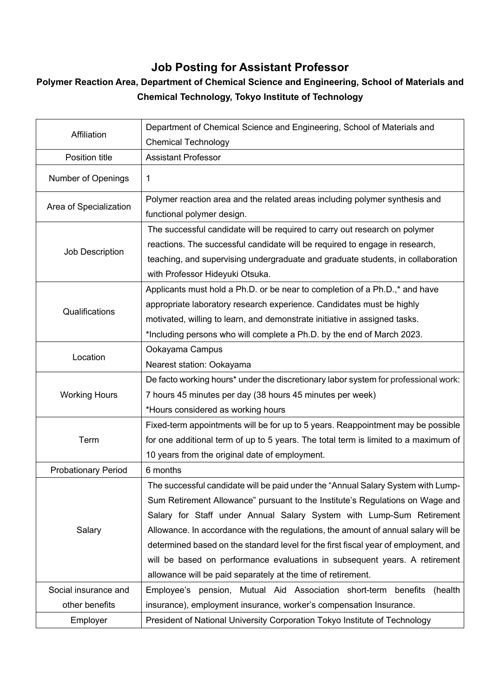## **Job Posting for Assistant Professor**

## **Polymer Reaction Area, Department of Chemical Science and Engineering, School of Materials and Chemical Technology, Tokyo Institute of Technology**

| Affiliation                | Department of Chemical Science and Engineering, School of Materials and             |
|----------------------------|-------------------------------------------------------------------------------------|
|                            | <b>Chemical Technology</b>                                                          |
| Position title             | <b>Assistant Professor</b>                                                          |
| Number of Openings         | 1                                                                                   |
| Area of Specialization     | Polymer reaction area and the related areas including polymer synthesis and         |
|                            | functional polymer design.                                                          |
| Job Description            | The successful candidate will be required to carry out research on polymer          |
|                            | reactions. The successful candidate will be required to engage in research,         |
|                            | teaching, and supervising undergraduate and graduate students, in collaboration     |
|                            | with Professor Hideyuki Otsuka.                                                     |
| Qualifications             | Applicants must hold a Ph.D. or be near to completion of a Ph.D.,* and have         |
|                            | appropriate laboratory research experience. Candidates must be highly               |
|                            | motivated, willing to learn, and demonstrate initiative in assigned tasks.          |
|                            | *Including persons who will complete a Ph.D. by the end of March 2023.              |
| Location                   | Ookayama Campus                                                                     |
|                            | Nearest station: Ookayama                                                           |
| <b>Working Hours</b>       | De facto working hours* under the discretionary labor system for professional work: |
|                            | 7 hours 45 minutes per day (38 hours 45 minutes per week)                           |
|                            | *Hours considered as working hours                                                  |
|                            | Fixed-term appointments will be for up to 5 years. Reappointment may be possible    |
| Term                       | for one additional term of up to 5 years. The total term is limited to a maximum of |
|                            | 10 years from the original date of employment.                                      |
| <b>Probationary Period</b> | 6 months                                                                            |
|                            | The successful candidate will be paid under the "Annual Salary System with Lump-    |
|                            | Sum Retirement Allowance" pursuant to the Institute's Regulations on Wage and       |
|                            | Salary for Staff under Annual Salary System with Lump-Sum Retirement                |
| Salary                     | Allowance. In accordance with the regulations, the amount of annual salary will be  |
|                            | determined based on the standard level for the first fiscal year of employment, and |
|                            | will be based on performance evaluations in subsequent years. A retirement          |
|                            | allowance will be paid separately at the time of retirement.                        |
| Social insurance and       | Employee's pension, Mutual Aid Association short-term<br>benefits<br>(health        |
| other benefits             | insurance), employment insurance, worker's compensation Insurance.                  |
| Employer                   | President of National University Corporation Tokyo Institute of Technology          |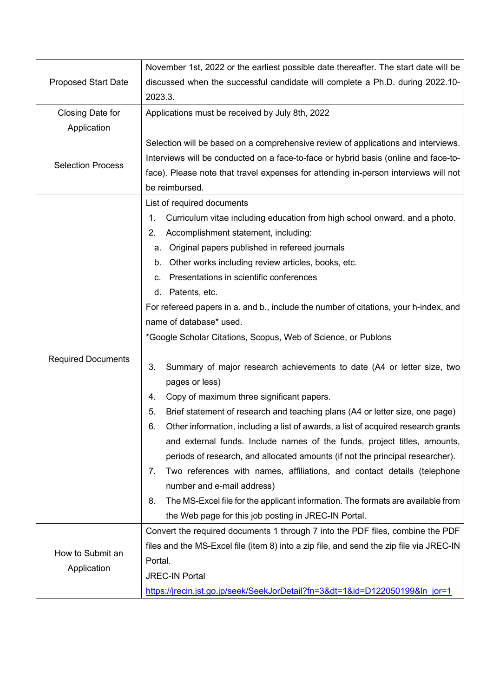| <b>Proposed Start Date</b>      | November 1st, 2022 or the earliest possible date thereafter. The start date will be     |
|---------------------------------|-----------------------------------------------------------------------------------------|
|                                 | discussed when the successful candidate will complete a Ph.D. during 2022.10-           |
|                                 | 2023.3.                                                                                 |
| Closing Date for                | Applications must be received by July 8th, 2022                                         |
| Application                     |                                                                                         |
| <b>Selection Process</b>        | Selection will be based on a comprehensive review of applications and interviews.       |
|                                 | Interviews will be conducted on a face-to-face or hybrid basis (online and face-to-     |
|                                 | face). Please note that travel expenses for attending in-person interviews will not     |
|                                 | be reimbursed.                                                                          |
|                                 | List of required documents                                                              |
|                                 | Curriculum vitae including education from high school onward, and a photo.<br>1.        |
|                                 | Accomplishment statement, including:<br>2.                                              |
|                                 | a. Original papers published in refereed journals                                       |
|                                 | b. Other works including review articles, books, etc.                                   |
|                                 | c. Presentations in scientific conferences                                              |
|                                 | d. Patents, etc.                                                                        |
|                                 | For refereed papers in a. and b., include the number of citations, your h-index, and    |
|                                 | name of database* used.                                                                 |
|                                 | *Google Scholar Citations, Scopus, Web of Science, or Publons                           |
| <b>Required Documents</b>       |                                                                                         |
|                                 | 3.<br>Summary of major research achievements to date (A4 or letter size, two            |
|                                 | pages or less)                                                                          |
|                                 | Copy of maximum three significant papers.<br>4.                                         |
|                                 | 5.<br>Brief statement of research and teaching plans (A4 or letter size, one page)      |
|                                 | Other information, including a list of awards, a list of acquired research grants<br>6. |
|                                 | and external funds. Include names of the funds, project titles, amounts,                |
|                                 | periods of research, and allocated amounts (if not the principal researcher).           |
|                                 | Two references with names, affiliations, and contact details (telephone<br>7.           |
|                                 | number and e-mail address)                                                              |
|                                 | The MS-Excel file for the applicant information. The formats are available from<br>8.   |
|                                 | the Web page for this job posting in JREC-IN Portal.                                    |
| How to Submit an<br>Application | Convert the required documents 1 through 7 into the PDF files, combine the PDF          |
|                                 | files and the MS-Excel file (item 8) into a zip file, and send the zip file via JREC-IN |
|                                 | Portal.                                                                                 |
|                                 | <b>JREC-IN Portal</b>                                                                   |
|                                 | https://jrecin.jst.go.jp/seek/SeekJorDetail?fn=3&dt=1&id=D122050199&ln_jor=1            |